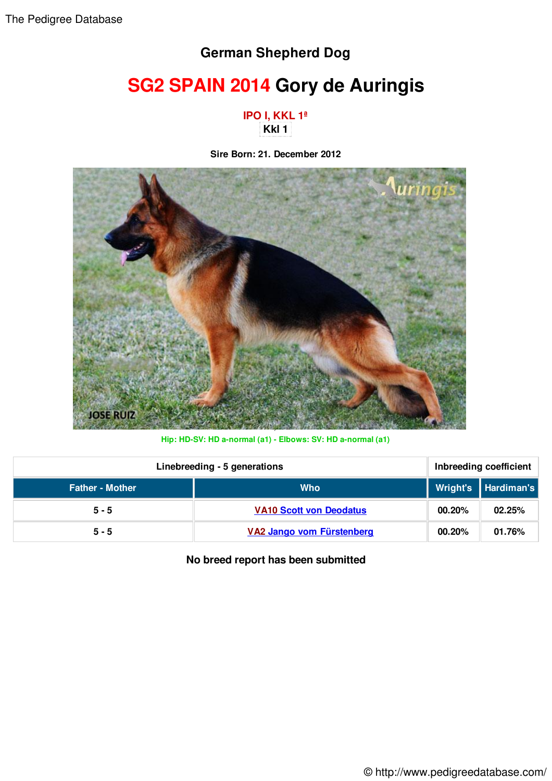## **German Shepherd Dog**

## **SG2 SPAIN 2014 Gory de Auringis**

**IPO I, KKL 1ª Kkl 1** 

**Sire Born: 21. December 2012**



**Hip: HD-SV: HD a-normal (a1) - Elbows: SV: HD a-normal (a1)**

| Linebreeding - 5 generations |                                | Inbreeding coefficient |                     |
|------------------------------|--------------------------------|------------------------|---------------------|
| <b>Father - Mother</b>       | <b>Who</b>                     |                        | Wright's Hardiman's |
| $5 - 5$                      | <b>VA10 Scott von Deodatus</b> | 00.20%                 | 02.25%              |
| $5 - 5$                      | VA2 Jango vom Fürstenberg      | 00.20%                 | 01.76%              |

**No breed report has been submitted**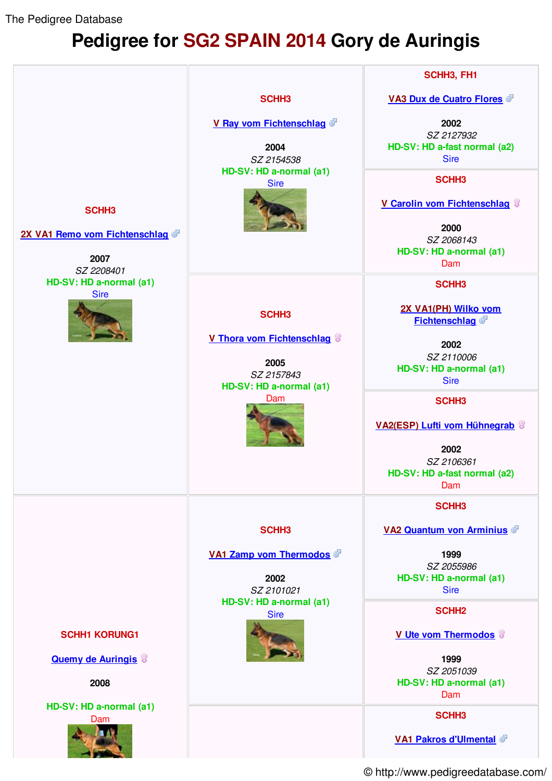The Pedigree Database

## **Pedigree for SG2 SPAIN 2014 Gory de Auringis**



© http://www.pedigreedatabase.com/